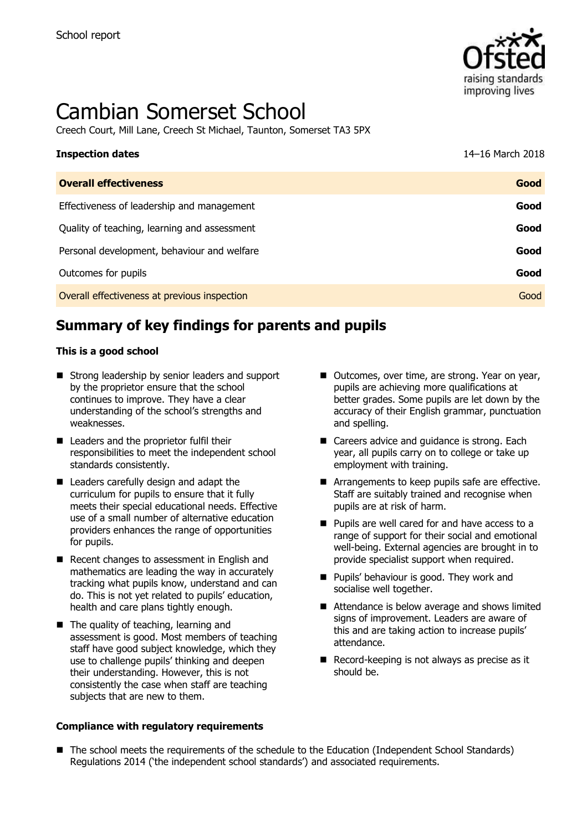

# Cambian Somerset School

Creech Court, Mill Lane, Creech St Michael, Taunton, Somerset TA3 5PX

| <b>Inspection dates</b>                      | 14-16 March 2018 |
|----------------------------------------------|------------------|
| <b>Overall effectiveness</b>                 | Good             |
| Effectiveness of leadership and management   | Good             |
| Quality of teaching, learning and assessment | Good             |
| Personal development, behaviour and welfare  | Good             |
| Outcomes for pupils                          | Good             |
| Overall effectiveness at previous inspection | Good             |

# **Summary of key findings for parents and pupils**

#### **This is a good school**

- Strong leadership by senior leaders and support by the proprietor ensure that the school continues to improve. They have a clear understanding of the school's strengths and weaknesses.
- Leaders and the proprietor fulfil their responsibilities to meet the independent school standards consistently.
- Leaders carefully design and adapt the curriculum for pupils to ensure that it fully meets their special educational needs. Effective use of a small number of alternative education providers enhances the range of opportunities for pupils.
- Recent changes to assessment in English and mathematics are leading the way in accurately tracking what pupils know, understand and can do. This is not yet related to pupils' education, health and care plans tightly enough.
- The quality of teaching, learning and assessment is good. Most members of teaching staff have good subject knowledge, which they use to challenge pupils' thinking and deepen their understanding. However, this is not consistently the case when staff are teaching subjects that are new to them.

#### **Compliance with regulatory requirements**

- Outcomes, over time, are strong. Year on year, pupils are achieving more qualifications at better grades. Some pupils are let down by the accuracy of their English grammar, punctuation and spelling.
- Careers advice and quidance is strong. Each year, all pupils carry on to college or take up employment with training.
- Arrangements to keep pupils safe are effective. Staff are suitably trained and recognise when pupils are at risk of harm.
- Pupils are well cared for and have access to a range of support for their social and emotional well-being. External agencies are brought in to provide specialist support when required.
- **Pupils' behaviour is good. They work and** socialise well together.
- Attendance is below average and shows limited signs of improvement. Leaders are aware of this and are taking action to increase pupils' attendance.
- Record-keeping is not always as precise as it should be.
- The school meets the requirements of the schedule to the Education (Independent School Standards) Regulations 2014 ('the independent school standards') and associated requirements.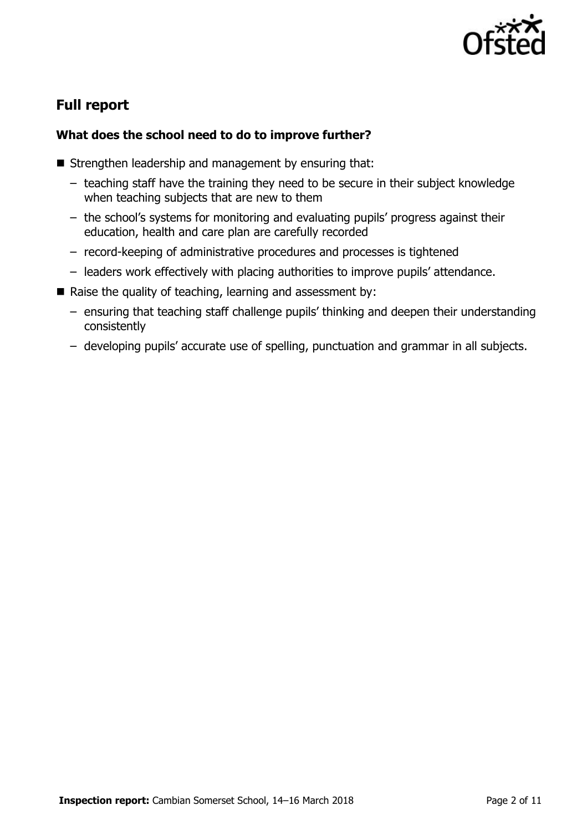

# **Full report**

## **What does the school need to do to improve further?**

- Strengthen leadership and management by ensuring that:
	- teaching staff have the training they need to be secure in their subject knowledge when teaching subjects that are new to them
	- the school's systems for monitoring and evaluating pupils' progress against their education, health and care plan are carefully recorded
	- record-keeping of administrative procedures and processes is tightened
	- leaders work effectively with placing authorities to improve pupils' attendance.
- Raise the quality of teaching, learning and assessment by:
	- ensuring that teaching staff challenge pupils' thinking and deepen their understanding consistently
	- developing pupils' accurate use of spelling, punctuation and grammar in all subjects.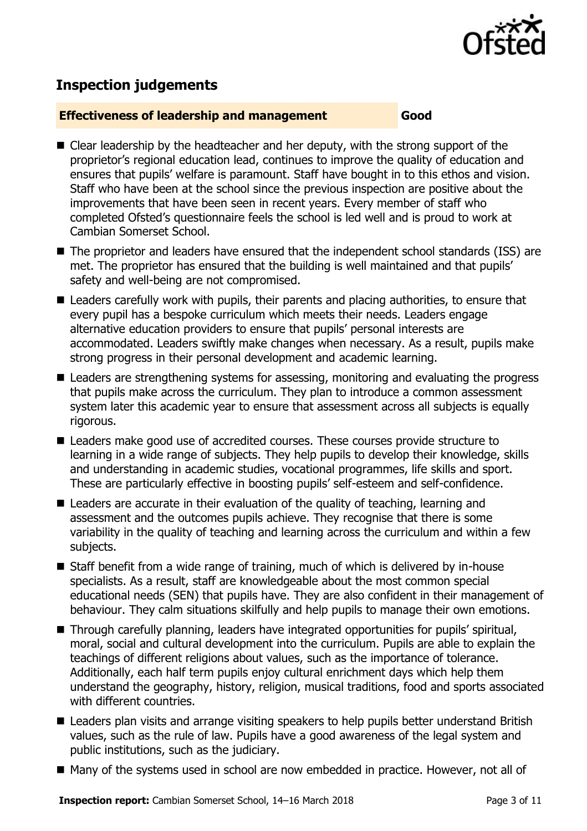

# **Inspection judgements**

#### **Effectiveness of leadership and management Good**

- Clear leadership by the headteacher and her deputy, with the strong support of the proprietor's regional education lead, continues to improve the quality of education and ensures that pupils' welfare is paramount. Staff have bought in to this ethos and vision. Staff who have been at the school since the previous inspection are positive about the improvements that have been seen in recent years. Every member of staff who completed Ofsted's questionnaire feels the school is led well and is proud to work at Cambian Somerset School.
- The proprietor and leaders have ensured that the independent school standards (ISS) are met. The proprietor has ensured that the building is well maintained and that pupils' safety and well-being are not compromised.
- Leaders carefully work with pupils, their parents and placing authorities, to ensure that every pupil has a bespoke curriculum which meets their needs. Leaders engage alternative education providers to ensure that pupils' personal interests are accommodated. Leaders swiftly make changes when necessary. As a result, pupils make strong progress in their personal development and academic learning.
- Leaders are strengthening systems for assessing, monitoring and evaluating the progress that pupils make across the curriculum. They plan to introduce a common assessment system later this academic year to ensure that assessment across all subjects is equally rigorous.
- Leaders make good use of accredited courses. These courses provide structure to learning in a wide range of subjects. They help pupils to develop their knowledge, skills and understanding in academic studies, vocational programmes, life skills and sport. These are particularly effective in boosting pupils' self-esteem and self-confidence.
- Leaders are accurate in their evaluation of the quality of teaching, learning and assessment and the outcomes pupils achieve. They recognise that there is some variability in the quality of teaching and learning across the curriculum and within a few subjects.
- Staff benefit from a wide range of training, much of which is delivered by in-house specialists. As a result, staff are knowledgeable about the most common special educational needs (SEN) that pupils have. They are also confident in their management of behaviour. They calm situations skilfully and help pupils to manage their own emotions.
- Through carefully planning, leaders have integrated opportunities for pupils' spiritual, moral, social and cultural development into the curriculum. Pupils are able to explain the teachings of different religions about values, such as the importance of tolerance. Additionally, each half term pupils enjoy cultural enrichment days which help them understand the geography, history, religion, musical traditions, food and sports associated with different countries.
- Leaders plan visits and arrange visiting speakers to help pupils better understand British values, such as the rule of law. Pupils have a good awareness of the legal system and public institutions, such as the judiciary.
- Many of the systems used in school are now embedded in practice. However, not all of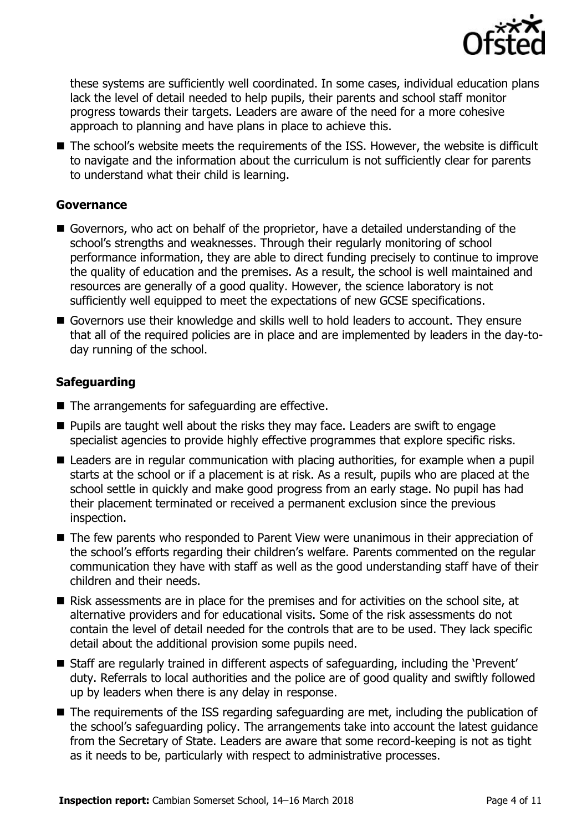

these systems are sufficiently well coordinated. In some cases, individual education plans lack the level of detail needed to help pupils, their parents and school staff monitor progress towards their targets. Leaders are aware of the need for a more cohesive approach to planning and have plans in place to achieve this.

■ The school's website meets the requirements of the ISS. However, the website is difficult to navigate and the information about the curriculum is not sufficiently clear for parents to understand what their child is learning.

#### **Governance**

- Governors, who act on behalf of the proprietor, have a detailed understanding of the school's strengths and weaknesses. Through their regularly monitoring of school performance information, they are able to direct funding precisely to continue to improve the quality of education and the premises. As a result, the school is well maintained and resources are generally of a good quality. However, the science laboratory is not sufficiently well equipped to meet the expectations of new GCSE specifications.
- Governors use their knowledge and skills well to hold leaders to account. They ensure that all of the required policies are in place and are implemented by leaders in the day-today running of the school.

## **Safeguarding**

- $\blacksquare$  The arrangements for safeguarding are effective.
- $\blacksquare$  Pupils are taught well about the risks they may face. Leaders are swift to engage specialist agencies to provide highly effective programmes that explore specific risks.
- Leaders are in regular communication with placing authorities, for example when a pupil starts at the school or if a placement is at risk. As a result, pupils who are placed at the school settle in quickly and make good progress from an early stage. No pupil has had their placement terminated or received a permanent exclusion since the previous inspection.
- The few parents who responded to Parent View were unanimous in their appreciation of the school's efforts regarding their children's welfare. Parents commented on the regular communication they have with staff as well as the good understanding staff have of their children and their needs.
- Risk assessments are in place for the premises and for activities on the school site, at alternative providers and for educational visits. Some of the risk assessments do not contain the level of detail needed for the controls that are to be used. They lack specific detail about the additional provision some pupils need.
- Staff are regularly trained in different aspects of safeguarding, including the 'Prevent' duty. Referrals to local authorities and the police are of good quality and swiftly followed up by leaders when there is any delay in response.
- The requirements of the ISS regarding safeguarding are met, including the publication of the school's safeguarding policy. The arrangements take into account the latest guidance from the Secretary of State. Leaders are aware that some record-keeping is not as tight as it needs to be, particularly with respect to administrative processes.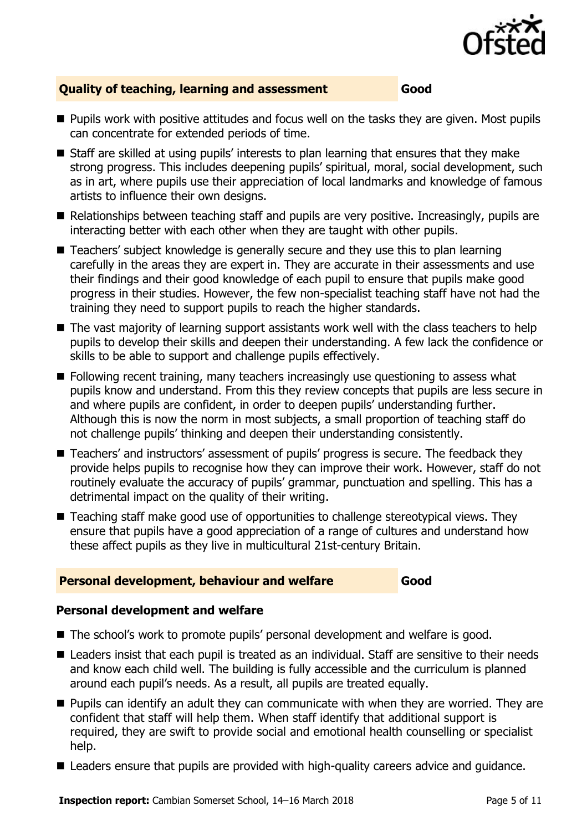

## **Quality of teaching, learning and assessment Good**

- **Pupils work with positive attitudes and focus well on the tasks they are given. Most pupils** can concentrate for extended periods of time.
- Staff are skilled at using pupils' interests to plan learning that ensures that they make strong progress. This includes deepening pupils' spiritual, moral, social development, such as in art, where pupils use their appreciation of local landmarks and knowledge of famous artists to influence their own designs.
- Relationships between teaching staff and pupils are very positive. Increasingly, pupils are interacting better with each other when they are taught with other pupils.
- Teachers' subject knowledge is generally secure and they use this to plan learning carefully in the areas they are expert in. They are accurate in their assessments and use their findings and their good knowledge of each pupil to ensure that pupils make good progress in their studies. However, the few non-specialist teaching staff have not had the training they need to support pupils to reach the higher standards.
- The vast majority of learning support assistants work well with the class teachers to help pupils to develop their skills and deepen their understanding. A few lack the confidence or skills to be able to support and challenge pupils effectively.
- **Following recent training, many teachers increasingly use questioning to assess what** pupils know and understand. From this they review concepts that pupils are less secure in and where pupils are confident, in order to deepen pupils' understanding further. Although this is now the norm in most subjects, a small proportion of teaching staff do not challenge pupils' thinking and deepen their understanding consistently.
- Teachers' and instructors' assessment of pupils' progress is secure. The feedback they provide helps pupils to recognise how they can improve their work. However, staff do not routinely evaluate the accuracy of pupils' grammar, punctuation and spelling. This has a detrimental impact on the quality of their writing.
- Teaching staff make good use of opportunities to challenge stereotypical views. They ensure that pupils have a good appreciation of a range of cultures and understand how these affect pupils as they live in multicultural 21st-century Britain.

## **Personal development, behaviour and welfare Good**

## **Personal development and welfare**

- The school's work to promote pupils' personal development and welfare is good.
- Leaders insist that each pupil is treated as an individual. Staff are sensitive to their needs and know each child well. The building is fully accessible and the curriculum is planned around each pupil's needs. As a result, all pupils are treated equally.
- **Pupils can identify an adult they can communicate with when they are worried. They are** confident that staff will help them. When staff identify that additional support is required, they are swift to provide social and emotional health counselling or specialist help.
- Leaders ensure that pupils are provided with high-quality careers advice and guidance.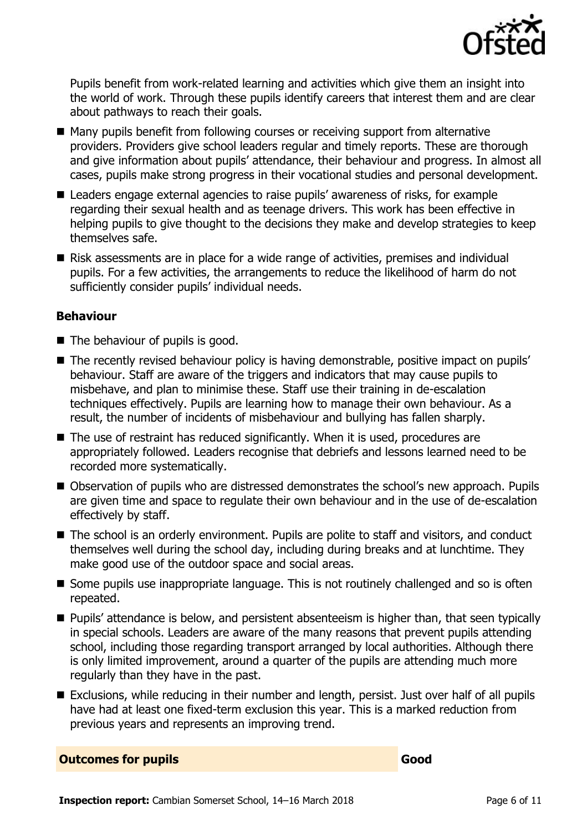

Pupils benefit from work-related learning and activities which give them an insight into the world of work. Through these pupils identify careers that interest them and are clear about pathways to reach their goals.

- Many pupils benefit from following courses or receiving support from alternative providers. Providers give school leaders regular and timely reports. These are thorough and give information about pupils' attendance, their behaviour and progress. In almost all cases, pupils make strong progress in their vocational studies and personal development.
- Leaders engage external agencies to raise pupils' awareness of risks, for example regarding their sexual health and as teenage drivers. This work has been effective in helping pupils to give thought to the decisions they make and develop strategies to keep themselves safe.
- Risk assessments are in place for a wide range of activities, premises and individual pupils. For a few activities, the arrangements to reduce the likelihood of harm do not sufficiently consider pupils' individual needs.

#### **Behaviour**

- The behaviour of pupils is good.
- The recently revised behaviour policy is having demonstrable, positive impact on pupils' behaviour. Staff are aware of the triggers and indicators that may cause pupils to misbehave, and plan to minimise these. Staff use their training in de-escalation techniques effectively. Pupils are learning how to manage their own behaviour. As a result, the number of incidents of misbehaviour and bullying has fallen sharply.
- $\blacksquare$  The use of restraint has reduced significantly. When it is used, procedures are appropriately followed. Leaders recognise that debriefs and lessons learned need to be recorded more systematically.
- Observation of pupils who are distressed demonstrates the school's new approach. Pupils are given time and space to regulate their own behaviour and in the use of de-escalation effectively by staff.
- The school is an orderly environment. Pupils are polite to staff and visitors, and conduct themselves well during the school day, including during breaks and at lunchtime. They make good use of the outdoor space and social areas.
- Some pupils use inappropriate language. This is not routinely challenged and so is often repeated.
- **Pupils' attendance is below, and persistent absenteeism is higher than, that seen typically** in special schools. Leaders are aware of the many reasons that prevent pupils attending school, including those regarding transport arranged by local authorities. Although there is only limited improvement, around a quarter of the pupils are attending much more regularly than they have in the past.
- Exclusions, while reducing in their number and length, persist. Just over half of all pupils have had at least one fixed-term exclusion this year. This is a marked reduction from previous years and represents an improving trend.

#### **Outcomes for pupils Good**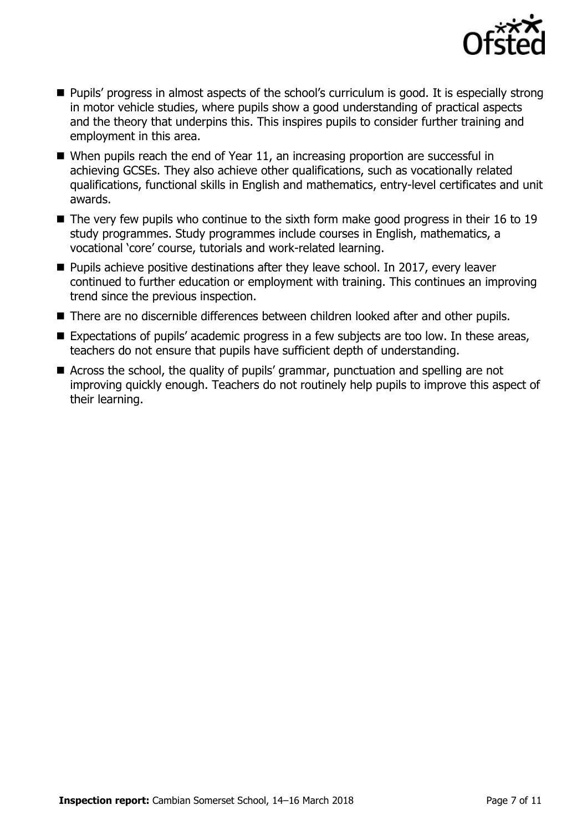

- **Pupils' progress in almost aspects of the school's curriculum is good. It is especially strong** in motor vehicle studies, where pupils show a good understanding of practical aspects and the theory that underpins this. This inspires pupils to consider further training and employment in this area.
- When pupils reach the end of Year 11, an increasing proportion are successful in achieving GCSEs. They also achieve other qualifications, such as vocationally related qualifications, functional skills in English and mathematics, entry-level certificates and unit awards.
- The very few pupils who continue to the sixth form make good progress in their 16 to 19 study programmes. Study programmes include courses in English, mathematics, a vocational 'core' course, tutorials and work-related learning.
- Pupils achieve positive destinations after they leave school. In 2017, every leaver continued to further education or employment with training. This continues an improving trend since the previous inspection.
- There are no discernible differences between children looked after and other pupils.
- Expectations of pupils' academic progress in a few subjects are too low. In these areas, teachers do not ensure that pupils have sufficient depth of understanding.
- Across the school, the quality of pupils' grammar, punctuation and spelling are not improving quickly enough. Teachers do not routinely help pupils to improve this aspect of their learning.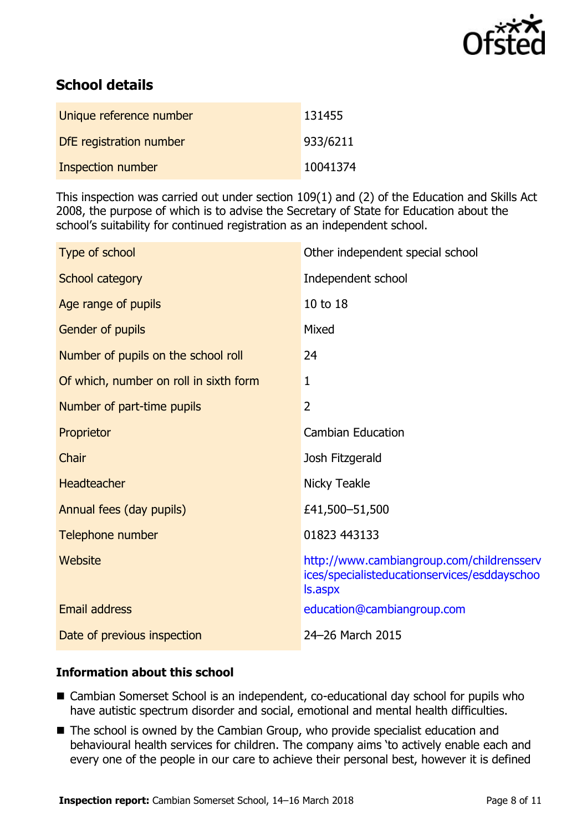

# **School details**

| Unique reference number | 131455   |
|-------------------------|----------|
| DfE registration number | 933/6211 |
| Inspection number       | 10041374 |

This inspection was carried out under section 109(1) and (2) of the Education and Skills Act 2008, the purpose of which is to advise the Secretary of State for Education about the school's suitability for continued registration as an independent school.

| Type of school                         | Other independent special school                                                                           |
|----------------------------------------|------------------------------------------------------------------------------------------------------------|
| School category                        | Independent school                                                                                         |
| Age range of pupils                    | 10 to 18                                                                                                   |
| Gender of pupils                       | Mixed                                                                                                      |
| Number of pupils on the school roll    | 24                                                                                                         |
| Of which, number on roll in sixth form | $\mathbf{1}$                                                                                               |
| Number of part-time pupils             | $\overline{2}$                                                                                             |
| Proprietor                             | <b>Cambian Education</b>                                                                                   |
| Chair                                  | Josh Fitzgerald                                                                                            |
| Headteacher                            | <b>Nicky Teakle</b>                                                                                        |
| Annual fees (day pupils)               | £41,500-51,500                                                                                             |
| Telephone number                       | 01823 443133                                                                                               |
| Website                                | http://www.cambiangroup.com/childrensserv<br>ices/specialisteducationservices/esddayschoo<br><b>S.aspx</b> |
| <b>Email address</b>                   | education@cambiangroup.com                                                                                 |
| Date of previous inspection            | 24-26 March 2015                                                                                           |

## **Information about this school**

- Cambian Somerset School is an independent, co-educational day school for pupils who have autistic spectrum disorder and social, emotional and mental health difficulties.
- The school is owned by the Cambian Group, who provide specialist education and behavioural health services for children. The company aims 'to actively enable each and every one of the people in our care to achieve their personal best, however it is defined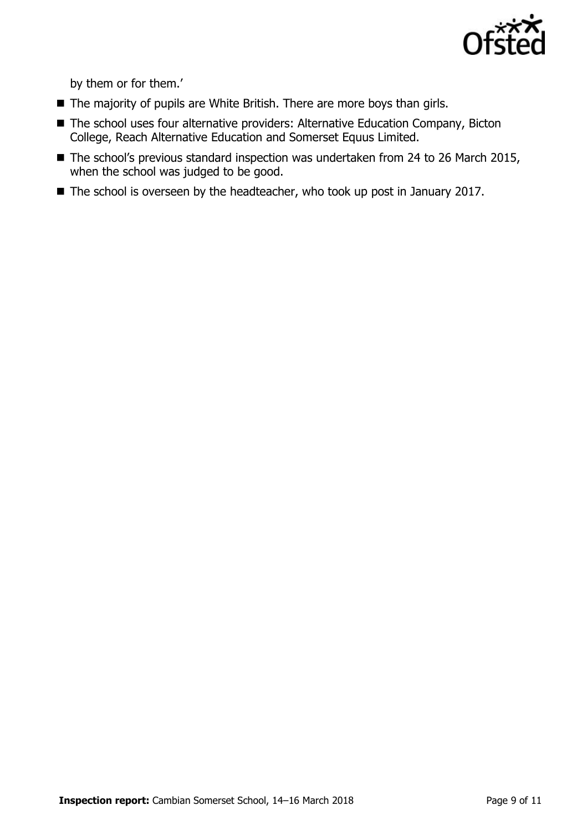

by them or for them.'

- The majority of pupils are White British. There are more boys than girls.
- The school uses four alternative providers: Alternative Education Company, Bicton College, Reach Alternative Education and Somerset Equus Limited.
- The school's previous standard inspection was undertaken from 24 to 26 March 2015, when the school was judged to be good.
- The school is overseen by the headteacher, who took up post in January 2017.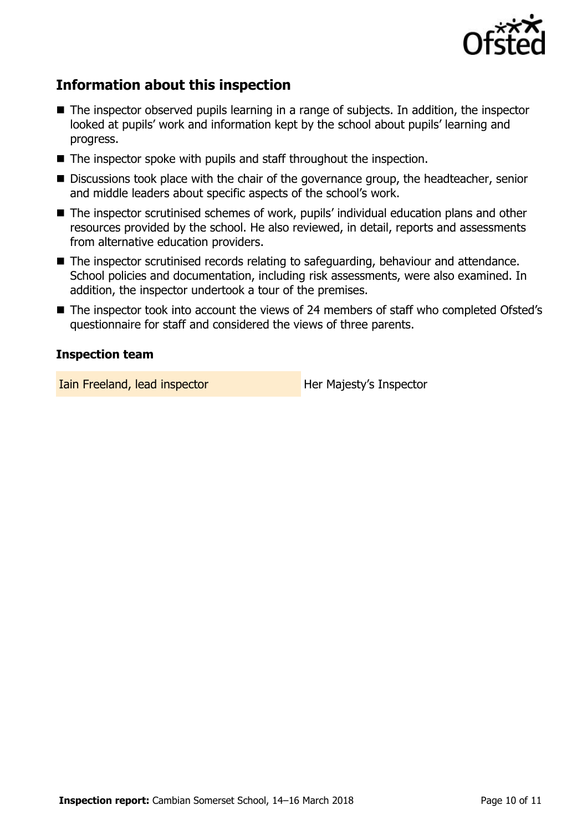

## **Information about this inspection**

- The inspector observed pupils learning in a range of subjects. In addition, the inspector looked at pupils' work and information kept by the school about pupils' learning and progress.
- The inspector spoke with pupils and staff throughout the inspection.
- Discussions took place with the chair of the governance group, the headteacher, senior and middle leaders about specific aspects of the school's work.
- The inspector scrutinised schemes of work, pupils' individual education plans and other resources provided by the school. He also reviewed, in detail, reports and assessments from alternative education providers.
- The inspector scrutinised records relating to safeguarding, behaviour and attendance. School policies and documentation, including risk assessments, were also examined. In addition, the inspector undertook a tour of the premises.
- The inspector took into account the views of 24 members of staff who completed Ofsted's questionnaire for staff and considered the views of three parents.

#### **Inspection team**

Iain Freeland, lead inspector **Her Majesty's Inspector**